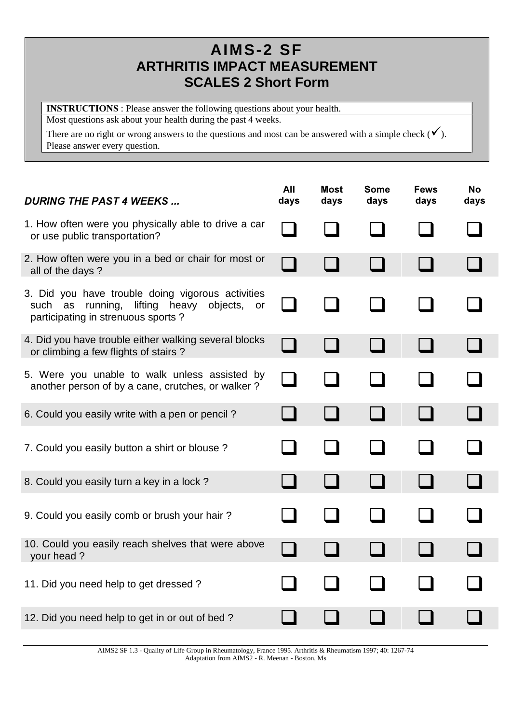## **AIMS-2 SF ARTHRITIS IMPACT MEASUREMENT SCALES 2 Short Form**

**INSTRUCTIONS**: Please answer the following questions about your health. Most questions ask about your health during the past 4 weeks.

There are no right or wrong answers to the questions and most can be answered with a simple check  $(\checkmark)$ . Please answer every question.

| <b>DURING THE PAST 4 WEEKS</b>                                                                                                                       | All<br>days | <b>Most</b><br>days | <b>Some</b><br>days | <b>Fews</b><br>days | <b>No</b><br>days |
|------------------------------------------------------------------------------------------------------------------------------------------------------|-------------|---------------------|---------------------|---------------------|-------------------|
| 1. How often were you physically able to drive a car<br>or use public transportation?                                                                |             |                     |                     |                     |                   |
| 2. How often were you in a bed or chair for most or<br>all of the days?                                                                              |             |                     |                     |                     |                   |
| 3. Did you have trouble doing vigorous activities<br>lifting<br>running,<br>heavy objects,<br>such<br>as<br>or<br>participating in strenuous sports? |             |                     |                     |                     |                   |
| 4. Did you have trouble either walking several blocks<br>or climbing a few flights of stairs?                                                        |             |                     |                     |                     |                   |
| 5. Were you unable to walk unless assisted by<br>another person of by a cane, crutches, or walker?                                                   |             |                     |                     |                     |                   |
| 6. Could you easily write with a pen or pencil?                                                                                                      |             |                     |                     |                     |                   |
| 7. Could you easily button a shirt or blouse?                                                                                                        |             |                     |                     |                     |                   |
| 8. Could you easily turn a key in a lock?                                                                                                            |             |                     |                     |                     |                   |
| 9. Could you easily comb or brush your hair?                                                                                                         |             |                     |                     |                     |                   |
| 10. Could you easily reach shelves that were above<br>your head?                                                                                     |             |                     |                     |                     |                   |
| 11. Did you need help to get dressed?                                                                                                                |             |                     |                     |                     |                   |
| 12. Did you need help to get in or out of bed?                                                                                                       |             |                     |                     |                     |                   |

AIMS2 SF 1.3 - Quality of Life Group in Rheumatology, France 1995. Arthritis & Rheumatism 1997; 40: 1267-74 Adaptation from AIMS2 - R. Meenan - Boston, Ms